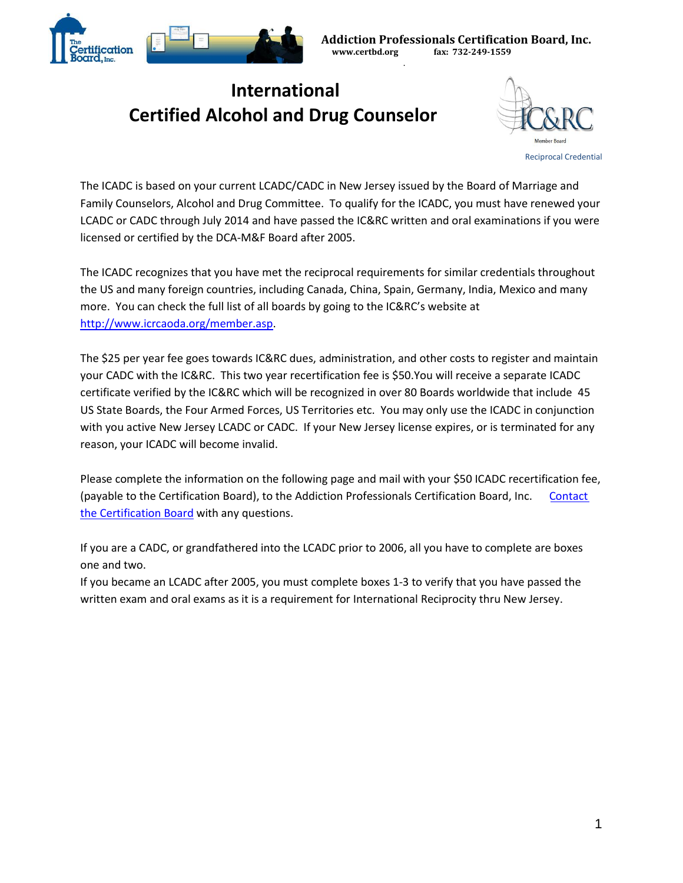

.

## **International Certified Alcohol and Drug Counselor**



The ICADC is based on your current LCADC/CADC in New Jersey issued by the Board of Marriage and Family Counselors, Alcohol and Drug Committee. To qualify for the ICADC, you must have renewed your LCADC or CADC through July 2014 and have passed the IC&RC written and oral examinations if you were licensed or certified by the DCA-M&F Board after 2005.

The ICADC recognizes that you have met the reciprocal requirements for similar credentials throughout the US and many foreign countries, including Canada, China, Spain, Germany, India, Mexico and many more. You can check the full list of all boards by going to the IC&RC's website at [http://www.icrcaoda.org/member.asp.](http://www.icrcaoda.org/member.asp)

The \$25 per year fee goes towards IC&RC dues, administration, and other costs to register and maintain your CADC with the IC&RC. This two year recertification fee is \$50.You will receive a separate ICADC certificate verified by the IC&RC which will be recognized in over 80 Boards worldwide that include 45 US State Boards, the Four Armed Forces, US Territories etc. You may only use the ICADC in conjunction with you active New Jersey LCADC or CADC. If your New Jersey license expires, or is terminated for any reason, your ICADC will become invalid.

Please complete the information on the following page and mail with your \$50 ICADC recertification fee, (payable to the Certification Board), to the Addiction Professionals Certification Board, Inc. Contact [the Certification Board](http://certbd.org/contact/) with any questions.

If you are a CADC, or grandfathered into the LCADC prior to 2006, all you have to complete are boxes one and two.

If you became an LCADC after 2005, you must complete boxes 1-3 to verify that you have passed the written exam and oral exams as it is a requirement for International Reciprocity thru New Jersey.